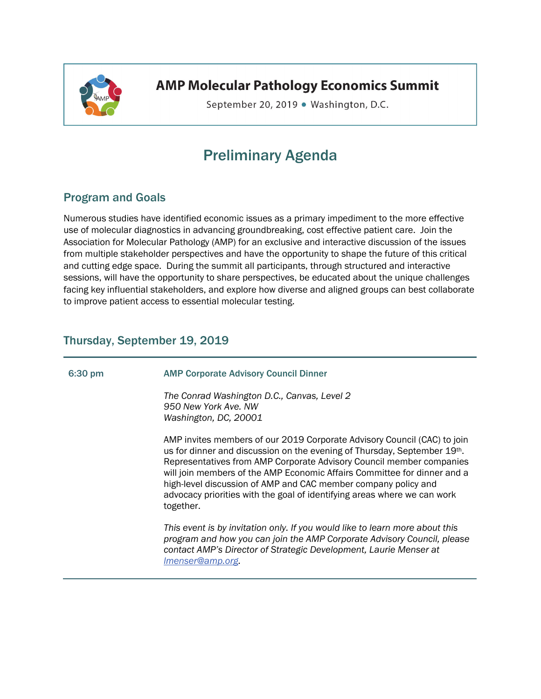

**AMP Molecular Pathology Economics Summit** 

September 20, 2019 . Washington, D.C.

# Preliminary Agenda

# Program and Goals

Numerous studies have identified economic issues as a primary impediment to the more effective use of molecular diagnostics in advancing groundbreaking, cost effective patient care. Join the Association for Molecular Pathology (AMP) for an exclusive and interactive discussion of the issues from multiple stakeholder perspectives and have the opportunity to shape the future of this critical and cutting edge space. During the summit all participants, through structured and interactive sessions, will have the opportunity to share perspectives, be educated about the unique challenges facing key influential stakeholders, and explore how diverse and aligned groups can best collaborate to improve patient access to essential molecular testing.

## Thursday, September 19, 2019

# 6:30 pm AMP Corporate Advisory Council Dinner *The Conrad Washington D.C., Canvas, Level 2 950 New York Ave. NW Washington, DC, 20001*  AMP invites members of our 2019 Corporate Advisory Council (CAC) to join us for dinner and discussion on the evening of Thursday, September 19th. Representatives from AMP Corporate Advisory Council member companies will join members of the AMP Economic Affairs Committee for dinner and a high-level discussion of AMP and CAC member company policy and advocacy priorities with the goal of identifying areas where we can work together. *This event is by invitation only. If you would like to learn more about this program and how you can join the AMP Corporate Advisory Council, please contact AMP's Director of Strategic Development, Laurie Menser at lmenser@amp.org.*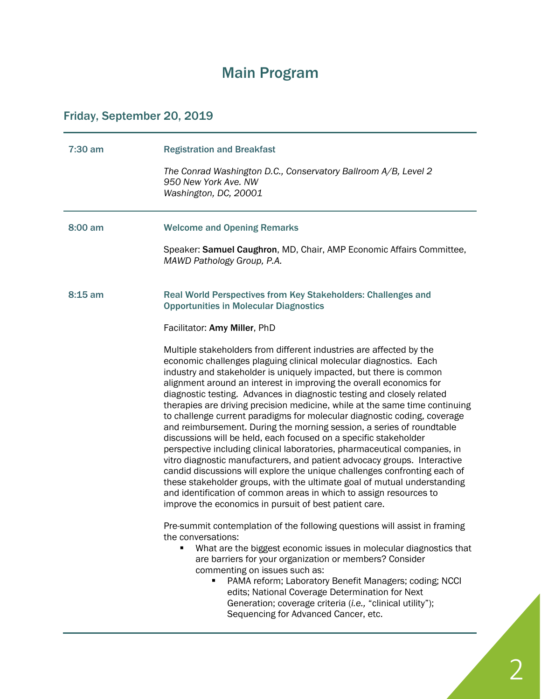# Main Program

# Friday, September 20, 2019

| $7:30$ am | <b>Registration and Breakfast</b><br>The Conrad Washington D.C., Conservatory Ballroom A/B, Level 2<br>950 New York Ave, NW<br>Washington, DC, 20001                                                                                                                                                                                                                                                                                                                                                                                                                                                                                                                                                                                                                                                                                                                                                                                                                                                                                                                                                                                                                                                                                                                                                                                                                                                                                                                                                                                                                                                                                                                                                                        |
|-----------|-----------------------------------------------------------------------------------------------------------------------------------------------------------------------------------------------------------------------------------------------------------------------------------------------------------------------------------------------------------------------------------------------------------------------------------------------------------------------------------------------------------------------------------------------------------------------------------------------------------------------------------------------------------------------------------------------------------------------------------------------------------------------------------------------------------------------------------------------------------------------------------------------------------------------------------------------------------------------------------------------------------------------------------------------------------------------------------------------------------------------------------------------------------------------------------------------------------------------------------------------------------------------------------------------------------------------------------------------------------------------------------------------------------------------------------------------------------------------------------------------------------------------------------------------------------------------------------------------------------------------------------------------------------------------------------------------------------------------------|
| $8:00$ am | <b>Welcome and Opening Remarks</b><br>Speaker: Samuel Caughron, MD, Chair, AMP Economic Affairs Committee,<br>MAWD Pathology Group, P.A.                                                                                                                                                                                                                                                                                                                                                                                                                                                                                                                                                                                                                                                                                                                                                                                                                                                                                                                                                                                                                                                                                                                                                                                                                                                                                                                                                                                                                                                                                                                                                                                    |
| $8:15$ am | Real World Perspectives from Key Stakeholders: Challenges and<br><b>Opportunities in Molecular Diagnostics</b><br>Facilitator: Amy Miller, PhD<br>Multiple stakeholders from different industries are affected by the<br>economic challenges plaguing clinical molecular diagnostics. Each<br>industry and stakeholder is uniquely impacted, but there is common<br>alignment around an interest in improving the overall economics for<br>diagnostic testing. Advances in diagnostic testing and closely related<br>therapies are driving precision medicine, while at the same time continuing<br>to challenge current paradigms for molecular diagnostic coding, coverage<br>and reimbursement. During the morning session, a series of roundtable<br>discussions will be held, each focused on a specific stakeholder<br>perspective including clinical laboratories, pharmaceutical companies, in<br>vitro diagnostic manufacturers, and patient advocacy groups. Interactive<br>candid discussions will explore the unique challenges confronting each of<br>these stakeholder groups, with the ultimate goal of mutual understanding<br>and identification of common areas in which to assign resources to<br>improve the economics in pursuit of best patient care.<br>Pre-summit contemplation of the following questions will assist in framing<br>the conversations:<br>What are the biggest economic issues in molecular diagnostics that<br>are barriers for your organization or members? Consider<br>commenting on issues such as:<br>PAMA reform; Laboratory Benefit Managers; coding; NCCI<br>edits; National Coverage Determination for Next<br>Generation; coverage criteria (i.e., "clinical utility"); |
|           | Sequencing for Advanced Cancer, etc.                                                                                                                                                                                                                                                                                                                                                                                                                                                                                                                                                                                                                                                                                                                                                                                                                                                                                                                                                                                                                                                                                                                                                                                                                                                                                                                                                                                                                                                                                                                                                                                                                                                                                        |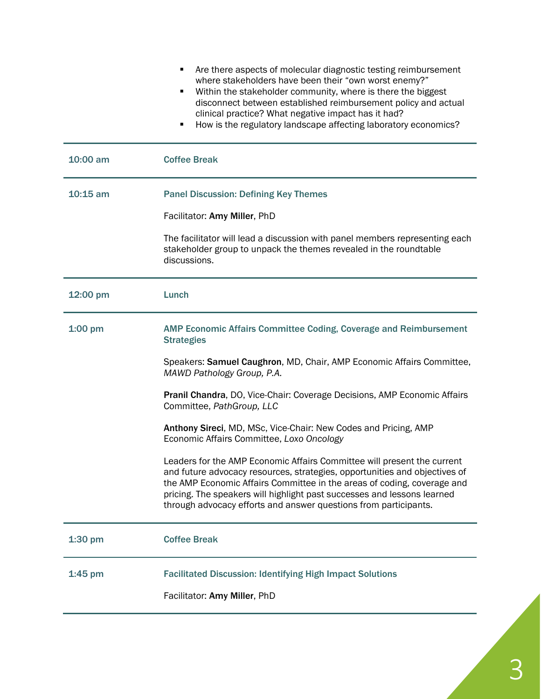|            | Are there aspects of molecular diagnostic testing reimbursement<br>٠<br>where stakeholders have been their "own worst enemy?"<br>Within the stakeholder community, where is there the biggest<br>٠<br>disconnect between established reimbursement policy and actual<br>clinical practice? What negative impact has it had?<br>How is the regulatory landscape affecting laboratory economics?<br>п |
|------------|-----------------------------------------------------------------------------------------------------------------------------------------------------------------------------------------------------------------------------------------------------------------------------------------------------------------------------------------------------------------------------------------------------|
| 10:00 am   | <b>Coffee Break</b>                                                                                                                                                                                                                                                                                                                                                                                 |
| $10:15$ am | <b>Panel Discussion: Defining Key Themes</b>                                                                                                                                                                                                                                                                                                                                                        |
|            | Facilitator: Amy Miller, PhD                                                                                                                                                                                                                                                                                                                                                                        |
|            | The facilitator will lead a discussion with panel members representing each<br>stakeholder group to unpack the themes revealed in the roundtable<br>discussions.                                                                                                                                                                                                                                    |
| 12:00 pm   | Lunch                                                                                                                                                                                                                                                                                                                                                                                               |
| $1:00$ pm  | <b>AMP Economic Affairs Committee Coding, Coverage and Reimbursement</b><br><b>Strategies</b>                                                                                                                                                                                                                                                                                                       |
|            | Speakers: Samuel Caughron, MD, Chair, AMP Economic Affairs Committee,<br>MAWD Pathology Group, P.A.                                                                                                                                                                                                                                                                                                 |
|            | Pranil Chandra, DO, Vice-Chair: Coverage Decisions, AMP Economic Affairs<br>Committee, PathGroup, LLC                                                                                                                                                                                                                                                                                               |
|            | Anthony Sireci, MD, MSc, Vice-Chair: New Codes and Pricing, AMP<br>Economic Affairs Committee, Loxo Oncology                                                                                                                                                                                                                                                                                        |
|            | Leaders for the AMP Economic Affairs Committee will present the current<br>and future advocacy resources, strategies, opportunities and objectives of<br>the AMP Economic Affairs Committee in the areas of coding, coverage and<br>pricing. The speakers will highlight past successes and lessons learned<br>through advocacy efforts and answer questions from participants.                     |
| $1:30$ pm  | <b>Coffee Break</b>                                                                                                                                                                                                                                                                                                                                                                                 |
| $1:45$ pm  | <b>Facilitated Discussion: Identifying High Impact Solutions</b>                                                                                                                                                                                                                                                                                                                                    |
|            | Facilitator: Amy Miller, PhD                                                                                                                                                                                                                                                                                                                                                                        |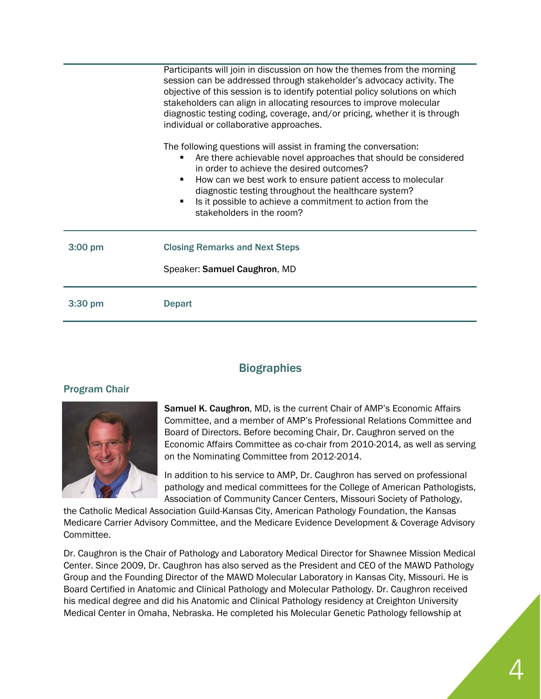|           | Participants will join in discussion on how the themes from the morning<br>session can be addressed through stakeholder's advocacy activity. The<br>objective of this session is to identify potential policy solutions on which<br>stakeholders can align in allocating resources to improve molecular<br>diagnostic testing coding, coverage, and/or pricing, whether it is through<br>individual or collaborative approaches. |
|-----------|----------------------------------------------------------------------------------------------------------------------------------------------------------------------------------------------------------------------------------------------------------------------------------------------------------------------------------------------------------------------------------------------------------------------------------|
|           | The following questions will assist in framing the conversation:<br>Are there achievable novel approaches that should be considered<br>in order to achieve the desired outcomes?<br>How can we best work to ensure patient access to molecular<br>٠<br>diagnostic testing throughout the healthcare system?<br>Is it possible to achieve a commitment to action from the<br>٠<br>stakeholders in the room?                       |
| $3:00$ pm | <b>Closing Remarks and Next Steps</b><br>Speaker: Samuel Caughron, MD                                                                                                                                                                                                                                                                                                                                                            |
| 3:30 pm   | <b>Depart</b>                                                                                                                                                                                                                                                                                                                                                                                                                    |

## **Biographies**

#### Program Chair



Samuel K. Caughron, MD, is the current Chair of AMP's Economic Affairs Committee, and a member of AMP's Professional Relations Committee and Board of Directors. Before becoming Chair, Dr. Caughron served on the Economic Affairs Committee as co-chair from 2010-2014, as well as serving on the Nominating Committee from 2012-2014.

In addition to his service to AMP, Dr. Caughron has served on professional pathology and medical committees for the College of American Pathologists, Association of Community Cancer Centers, Missouri Society of Pathology,

the Catholic Medical Association Guild-Kansas City, American Pathology Foundation, the Kansas Medicare Carrier Advisory Committee, and the Medicare Evidence Development & Coverage Advisory Committee.

Dr. Caughron is the Chair of Pathology and Laboratory Medical Director for Shawnee Mission Medical Center. Since 2009, Dr. Caughron has also served as the President and CEO of the MAWD Pathology Group and the Founding Director of the MAWD Molecular Laboratory in Kansas City, Missouri. He is Board Certified in Anatomic and Clinical Pathology and Molecular Pathology. Dr. Caughron received his medical degree and did his Anatomic and Clinical Pathology residency at Creighton University Medical Center in Omaha, Nebraska. He completed his Molecular Genetic Pathology fellowship at